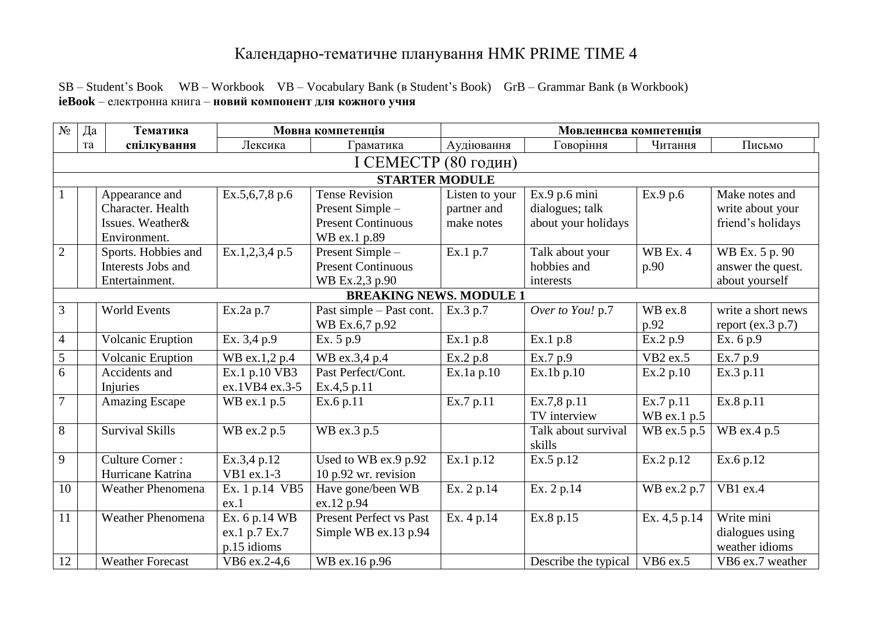## Календарно-тематичне планування НМК PRIME TIME 4

SB – Student's Book WB – Workbook VB – Vocabulary Bank (в Student's Book) GrB – Grammar Bank (в Workbook) **ieBook** – електронна книга – **новий компонент для кожного учня**

| $N_2$                          | Да                   | Тематика                 |                | Мовна компетенція              | Мовленнєва компетенція |                      |              |                       |  |  |  |
|--------------------------------|----------------------|--------------------------|----------------|--------------------------------|------------------------|----------------------|--------------|-----------------------|--|--|--|
|                                | та                   | спілкування              | Лексика        | Граматика                      | Аудіювання             | Говоріння            | Читання      | Письмо                |  |  |  |
|                                | I CEMECTP (80 годин) |                          |                |                                |                        |                      |              |                       |  |  |  |
|                                |                      |                          |                | <b>STARTER MODULE</b>          |                        |                      |              |                       |  |  |  |
|                                |                      | Appearance and           | Ex.5,6,7,8 p.6 | <b>Tense Revision</b>          | Listen to your         | Ex.9 p.6 mini        | Ex.9 p.6     | Make notes and        |  |  |  |
|                                |                      | Character. Health        |                | Present Simple -               | partner and            | dialogues; talk      |              | write about your      |  |  |  |
|                                |                      | Issues. Weather&         |                | <b>Present Continuous</b>      | make notes             | about your holidays  |              | friend's holidays     |  |  |  |
|                                |                      | Environment.             |                | WB ex.1 p.89                   |                        |                      |              |                       |  |  |  |
| $\overline{2}$                 |                      | Sports. Hobbies and      | Ex.1,2,3,4 p.5 | Present Simple -               | Ex.1 p.7               | Talk about your      | WB Ex. 4     | WB Ex. 5 p. 90        |  |  |  |
|                                |                      | Interests Jobs and       |                | <b>Present Continuous</b>      |                        | hobbies and          | p.90         | answer the quest.     |  |  |  |
|                                |                      | Entertainment.           |                | WB Ex.2,3 p.90                 |                        | interests            |              | about yourself        |  |  |  |
| <b>BREAKING NEWS. MODULE 1</b> |                      |                          |                |                                |                        |                      |              |                       |  |  |  |
| 3                              |                      | <b>World Events</b>      | Ex.2a p.7      | Past simple – Past cont.       | Ex.3 p.7               | Over to You! p.7     | WB ex.8      | write a short news    |  |  |  |
|                                |                      |                          |                | WB Ex.6,7 p.92                 |                        |                      | p.92         | report (ex. $3 p.7$ ) |  |  |  |
| $\overline{4}$                 |                      | Volcanic Eruption        | Ex. 3,4 p.9    | Ex. 5 p.9                      | Ex.1 p.8               | Ex.1 p.8             | Ex.2 p.9     | Ex. 6 p.9             |  |  |  |
| 5                              |                      | Volcanic Eruption        | WB ex.1,2 p.4  | WB ex.3,4 p.4                  | Ex.2 p.8               | Ex.7 p.9             | VB2 ex.5     | Ex.7 p.9              |  |  |  |
| 6                              |                      | Accidents and            | Ex.1 p.10 VB3  | Past Perfect/Cont.             | Ex.1a p.10             | Ex.1b p.10           | Ex.2 p.10    | Ex.3 p.11             |  |  |  |
|                                |                      | Injuries                 | ex.1VB4 ex.3-5 | Ex.4,5 p.11                    |                        |                      |              |                       |  |  |  |
| $\overline{7}$                 |                      | <b>Amazing Escape</b>    | WB ex.1 p.5    | Ex.6 p.11                      | Ex.7 p.11              | Ex.7,8 p.11          | Ex.7 p.11    | Ex.8 p.11             |  |  |  |
|                                |                      |                          |                |                                |                        | TV interview         | WB ex.1 p.5  |                       |  |  |  |
| 8                              |                      | <b>Survival Skills</b>   | WB ex.2 p.5    | WB ex.3 p.5                    |                        | Talk about survival  | WB ex.5 p.5  | WB ex.4 p.5           |  |  |  |
|                                |                      |                          |                |                                |                        | skills               |              |                       |  |  |  |
| 9                              |                      | <b>Culture Corner:</b>   | Ex.3,4 p.12    | Used to WB ex.9 p.92           | Ex.1 p.12              | Ex.5 p.12            | Ex.2 p.12    | Ex.6 p.12             |  |  |  |
|                                |                      | Hurricane Katrina        | VB1 ex.1-3     | $10$ p.92 wr. revision         |                        |                      |              |                       |  |  |  |
| 10                             |                      | <b>Weather Phenomena</b> | Ex. 1 p.14 VB5 | Have gone/been WB              | Ex. 2 p.14             | Ex. 2 p.14           | WB ex.2 p.7  | VB1 ex.4              |  |  |  |
|                                |                      |                          | ex.1           | ex.12 p.94                     |                        |                      |              |                       |  |  |  |
| 11                             |                      | <b>Weather Phenomena</b> | Ex. 6 p.14 WB  | <b>Present Perfect vs Past</b> | Ex. 4 p.14             | Ex.8 p.15            | Ex. 4,5 p.14 | Write mini            |  |  |  |
|                                |                      |                          | ex.1 p.7 Ex.7  | Simple WB ex.13 p.94           |                        |                      |              | dialogues using       |  |  |  |
|                                |                      |                          | p.15 idioms    |                                |                        |                      |              | weather idioms        |  |  |  |
| 12                             |                      | <b>Weather Forecast</b>  | VB6 ex.2-4,6   | WB ex.16 p.96                  |                        | Describe the typical | VB6 ex.5     | VB6 ex.7 weather      |  |  |  |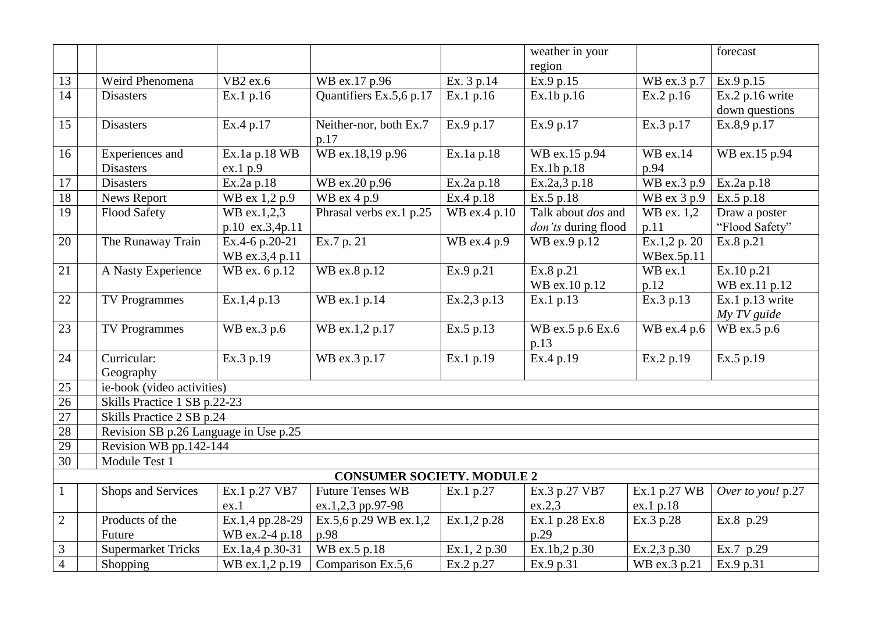|                   |                                       |                 |                         |              | weather in your     |                          | forecast          |  |  |  |
|-------------------|---------------------------------------|-----------------|-------------------------|--------------|---------------------|--------------------------|-------------------|--|--|--|
|                   |                                       |                 |                         |              | region              |                          |                   |  |  |  |
| 13                | Weird Phenomena                       | VB2 ex.6        | WB ex.17 p.96           | Ex. 3 p.14   | Ex.9 p.15           | WB ex.3 p.7              | Ex.9 p.15         |  |  |  |
| 14                | <b>Disasters</b>                      | Ex.1 p.16       | Quantifiers Ex.5,6 p.17 | Ex.1 p.16    | Ex.1b p.16          | Ex.2 p.16                | Ex.2 p.16 write   |  |  |  |
|                   |                                       |                 |                         |              |                     |                          | down questions    |  |  |  |
| 15                | <b>Disasters</b>                      | Ex.4 p.17       | Neither-nor, both Ex.7  | Ex.9 p.17    | Ex.9 p.17           | Ex.3 p.17                | Ex.8,9 p.17       |  |  |  |
|                   |                                       |                 | p.17                    |              |                     |                          |                   |  |  |  |
| 16                | Experiences and                       | Ex.1a p.18 WB   | WB ex.18,19 p.96        | Ex.1a p.18   | WB ex.15 p.94       | WB ex.14                 | WB ex.15 p.94     |  |  |  |
|                   | <b>Disasters</b>                      | ex.1 p.9        |                         |              | Ex.1b p.18          | p.94                     |                   |  |  |  |
| 17                | <b>Disasters</b>                      | Ex.2a p.18      | WB ex.20 p.96           | Ex.2a p.18   | Ex.2a,3 p.18        | WB ex.3 p.9              | Ex.2a p.18        |  |  |  |
| 18                | News Report                           | WB ex 1,2 p.9   | WB ex $4 p.9$           | Ex.4 p.18    | Ex.5 p.18           | WB ex 3 p.9              | Ex.5 p.18         |  |  |  |
| $\overline{19}$   | Flood Safety                          | WB ex.1,2,3     | Phrasal verbs ex.1 p.25 | WB ex.4 p.10 | Talk about dos and  | $\overline{W}$ B ex. 1,2 | Draw a poster     |  |  |  |
|                   |                                       | p.10 ex.3,4p.11 |                         |              | don'ts during flood | p.11                     | "Flood Safety"    |  |  |  |
| 20                | The Runaway Train                     | Ex.4-6 p.20-21  | Ex.7 p. 21              | WB ex.4 p.9  | WB ex.9 p.12        | Ex.1,2 p. 20             | Ex.8 p.21         |  |  |  |
|                   |                                       | WB ex.3,4 p.11  |                         |              |                     | WBex.5p.11               |                   |  |  |  |
| 21                | A Nasty Experience                    | WB ex. 6 p.12   | WB ex.8 p.12            | Ex.9 p.21    | Ex.8 p.21           | WB ex.1                  | Ex.10 p.21        |  |  |  |
|                   |                                       |                 |                         |              | WB ex.10 p.12       | p.12                     | WB ex.11 p.12     |  |  |  |
| 22                | <b>TV Programmes</b>                  | Ex.1,4 p.13     | WB ex.1 p.14            | Ex.2,3 p.13  | Ex.1 p.13           | Ex.3 p.13                | Ex.1 p.13 write   |  |  |  |
|                   |                                       |                 |                         |              |                     |                          | My TV guide       |  |  |  |
| 23                | <b>TV Programmes</b>                  | WB ex.3 p.6     | WB ex.1,2 p.17          | Ex.5 p.13    | WB ex.5 p.6 Ex.6    | WB ex.4 p.6              | WB ex.5 p.6       |  |  |  |
|                   |                                       |                 |                         |              | p.13                |                          |                   |  |  |  |
| 24                | Curricular:                           | Ex.3 p.19       | WB ex.3 p.17            | Ex.1 p.19    | Ex.4 p.19           | Ex.2 p.19                | Ex.5 p.19         |  |  |  |
|                   | Geography                             |                 |                         |              |                     |                          |                   |  |  |  |
| 25                | ie-book (video activities)            |                 |                         |              |                     |                          |                   |  |  |  |
| $\overline{26}$   | Skills Practice 1 SB p.22-23          |                 |                         |              |                     |                          |                   |  |  |  |
| 27                | Skills Practice 2 SB p.24             |                 |                         |              |                     |                          |                   |  |  |  |
| 28                | Revision SB p.26 Language in Use p.25 |                 |                         |              |                     |                          |                   |  |  |  |
| 29                | Revision WB pp.142-144                |                 |                         |              |                     |                          |                   |  |  |  |
| 30                | Module Test 1                         |                 |                         |              |                     |                          |                   |  |  |  |
|                   | <b>CONSUMER SOCIETY. MODULE 2</b>     |                 |                         |              |                     |                          |                   |  |  |  |
| $\lceil 1 \rceil$ | Shops and Services                    | Ex.1 p.27 VB7   | <b>Future Tenses WB</b> | Ex.1 p.27    | Ex.3 p.27 VB7       | Ex.1 p.27 WB             | Over to you! p.27 |  |  |  |
|                   |                                       | ex.1            | ex.1,2,3 pp.97-98       |              | ex.2,3              | ex.1 p.18                |                   |  |  |  |
| $\overline{2}$    | Products of the                       | Ex.1,4 pp.28-29 | Ex.5,6 p.29 WB ex.1,2   | Ex.1,2 p.28  | Ex.1 p.28 Ex.8      | Ex.3 p.28                | Ex.8 p.29         |  |  |  |
|                   | Future                                | WB ex.2-4 p.18  | p.98                    |              | p.29                |                          |                   |  |  |  |
| $\mathfrak{Z}$    | <b>Supermarket Tricks</b>             | Ex.1a,4 p.30-31 | WB ex.5 p.18            | Ex.1, 2 p.30 | Ex.1b,2 p.30        | Ex.2,3 p.30              | Ex.7 p.29         |  |  |  |
| $\overline{4}$    | Shopping                              | WB ex.1,2 p.19  | Comparison Ex.5,6       | Ex.2 p.27    | Ex.9 p.31           | WB ex.3 p.21             | Ex.9 p.31         |  |  |  |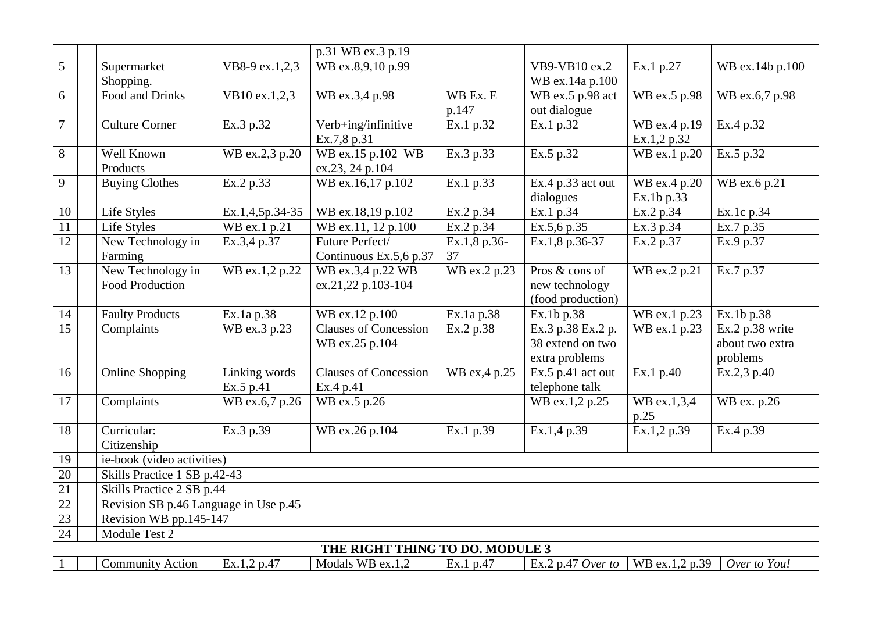|                 |                                       |                 | p.31 WB ex.3 p.19               |                        |                     |                |                 |
|-----------------|---------------------------------------|-----------------|---------------------------------|------------------------|---------------------|----------------|-----------------|
| 5               | Supermarket                           | VB8-9 ex.1,2,3  | WB ex.8,9,10 p.99               |                        | VB9-VB10 ex.2       | Ex.1 p.27      | WB ex.14b p.100 |
|                 | Shopping.                             |                 |                                 |                        | WB ex.14a p.100     |                |                 |
| 6               | Food and Drinks                       | VB10 ex.1,2,3   | WB ex.3,4 p.98                  | WB Ex. E               | WB ex.5 p.98 act    | WB ex.5 p.98   | WB ex.6,7 p.98  |
|                 |                                       |                 |                                 | p.147                  | out dialogue        |                |                 |
| 7               | <b>Culture Corner</b>                 | Ex.3 p.32       | Verb+ing/infinitive             | Ex.1 p.32              | Ex.1 p.32           | WB ex.4 p.19   | Ex.4 p.32       |
|                 |                                       |                 | Ex.7,8 p.31                     |                        |                     | Ex.1,2 p.32    |                 |
| 8               | Well Known                            | WB ex.2,3 p.20  | WB ex.15 p.102 WB               | Ex.3 p.33              | Ex.5 p.32           | WB ex.1 p.20   | Ex.5 p.32       |
|                 | Products                              |                 | ex.23, 24 p.104                 |                        |                     |                |                 |
| 9               | <b>Buying Clothes</b>                 | Ex.2 p.33       | WB ex.16,17 p.102               | Ex.1 p.33              | Ex.4 p.33 act out   | WB ex.4 p.20   | WB ex.6 p.21    |
|                 |                                       |                 |                                 |                        | dialogues           | Ex.1b p.33     |                 |
| 10              | Life Styles                           | Ex.1,4,5p.34-35 | WB ex.18,19 p.102               | Ex.2 p.34              | Ex.1 p.34           | Ex.2 p.34      | Ex.1c p.34      |
| $\overline{11}$ | Life Styles                           | WB ex.1 p.21    | WB ex.11, 12 p.100              | Ex.2 $p.\overline{34}$ | Ex.5,6 p.35         | Ex.3 p.34      | Ex.7 p.35       |
| $\overline{12}$ | New Technology in                     | Ex.3,4 p.37     | Future Perfect/                 | Ex.1,8 p.36-           | Ex.1,8 p.36-37      | Ex.2 p.37      | Ex.9 p.37       |
|                 | Farming                               |                 | Continuous Ex.5,6 p.37          | 37                     |                     |                |                 |
| 13              | New Technology in                     | WB ex.1,2 p.22  | WB ex.3,4 p.22 WB               | WB ex.2 p.23           | Pros & cons of      | WB ex.2 p.21   | Ex.7 p.37       |
|                 | <b>Food Production</b>                |                 | ex.21,22 p.103-104              |                        | new technology      |                |                 |
|                 |                                       |                 |                                 |                        | (food production)   |                |                 |
| 14              | <b>Faulty Products</b>                | Ex.1a p.38      | WB ex.12 p.100                  | Ex.1a p.38             | Ex.1b p.38          | WB ex.1 p.23   | Ex.1b p.38      |
| $\overline{15}$ | Complaints                            | WB ex.3 p.23    | <b>Clauses of Concession</b>    | Ex.2 p.38              | Ex.3 p.38 Ex.2 p.   | WB ex.1 p.23   | Ex.2 p.38 write |
|                 |                                       |                 | WB ex.25 p.104                  |                        | 38 extend on two    |                | about two extra |
|                 |                                       |                 |                                 |                        | extra problems      |                | problems        |
| 16              | <b>Online Shopping</b>                | Linking words   | <b>Clauses of Concession</b>    | WB ex, 4 p.25          | $Ex.5$ p.41 act out | Ex.1 p.40      | Ex.2,3 p.40     |
|                 |                                       | Ex.5 p.41       | Ex.4 p.41                       |                        | telephone talk      |                |                 |
| 17              | Complaints                            | WB ex.6,7 p.26  | WB ex.5 p.26                    |                        | WB ex.1,2 p.25      | WB ex.1,3,4    | WB ex. p.26     |
|                 |                                       |                 |                                 |                        |                     | p.25           |                 |
| 18              | Curricular:                           | Ex.3 p.39       | WB ex.26 p.104                  | Ex.1 p.39              | Ex.1,4 p.39         | Ex.1,2 p.39    | Ex.4 p.39       |
|                 | Citizenship                           |                 |                                 |                        |                     |                |                 |
| 19              | ie-book (video activities)            |                 |                                 |                        |                     |                |                 |
| 20              | Skills Practice 1 SB p.42-43          |                 |                                 |                        |                     |                |                 |
| 21              | Skills Practice 2 SB p.44             |                 |                                 |                        |                     |                |                 |
| $\overline{22}$ | Revision SB p.46 Language in Use p.45 |                 |                                 |                        |                     |                |                 |
| $\overline{23}$ | Revision WB pp.145-147                |                 |                                 |                        |                     |                |                 |
| 24              | Module Test 2                         |                 |                                 |                        |                     |                |                 |
|                 |                                       |                 | THE RIGHT THING TO DO. MODULE 3 |                        |                     |                |                 |
|                 | <b>Community Action</b>               | Ex.1,2 p.47     | Modals WB ex.1,2                | Ex.1 p.47              | Ex.2 p.47 Over to   | WB ex.1,2 p.39 | Over to You!    |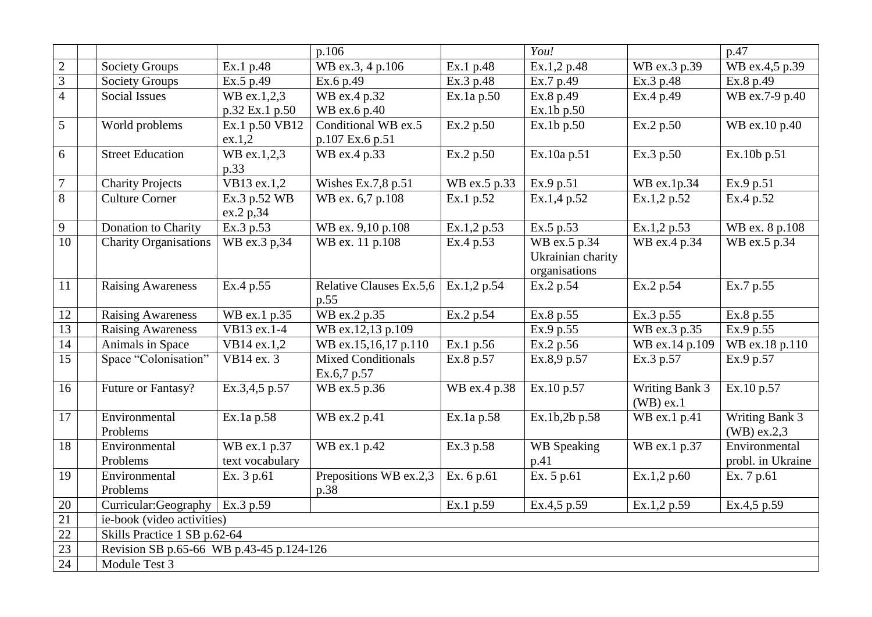|                 |                                          |                          | p.106                     |                        | You!               |                | p.47              |  |  |
|-----------------|------------------------------------------|--------------------------|---------------------------|------------------------|--------------------|----------------|-------------------|--|--|
| $\overline{c}$  | <b>Society Groups</b>                    | Ex.1 p.48                | WB ex.3, 4 p.106          | Ex.1 p.48              | Ex.1,2 p.48        | WB ex.3 p.39   | WB ex.4,5 p.39    |  |  |
| $\overline{3}$  | <b>Society Groups</b>                    | Ex.5 p.49                | Ex.6 p.49                 | Ex.3 p.48              | Ex.7 p.49          | Ex.3 p.48      | Ex.8 p.49         |  |  |
| $\overline{4}$  | <b>Social Issues</b>                     | WB ex.1,2,3              | WB ex.4 p.32              | Ex.1a p.50             | Ex.8 p.49          | Ex.4 p.49      | WB ex.7-9 p.40    |  |  |
|                 |                                          | p.32 Ex.1 p.50           | WB ex.6 p.40              |                        | Ex.1b p.50         |                |                   |  |  |
| 5               | World problems                           | Ex.1 p.50 VB12           | Conditional WB ex.5       | $\overline{Ex.2p.50}$  | Ex.1b p.50         | Ex.2 p.50      | WB ex.10 p.40     |  |  |
|                 |                                          | ex.1,2                   | p.107 Ex.6 p.51           |                        |                    |                |                   |  |  |
| 6               | <b>Street Education</b>                  | WB ex.1,2,3              | WB ex.4 p.33              | Ex.2 p.50              | Ex.10a p.51        | Ex.3 p.50      | Ex.10b p.51       |  |  |
|                 |                                          | p.33                     |                           |                        |                    |                |                   |  |  |
| 7               | <b>Charity Projects</b>                  | VB13 ex.1,2              | Wishes Ex.7,8 p.51        | WB ex.5 p.33           | Ex.9 p.51          | WB ex.1p.34    | Ex.9 p.51         |  |  |
| $\overline{8}$  | <b>Culture Corner</b>                    | Ex.3 p.52 WB             | WB ex. 6,7 p.108          | Ex.1 p.52              | Ex.1,4 p.52        | Ex.1,2 p.52    | Ex.4 p.52         |  |  |
|                 |                                          | ex.2 p,34                |                           |                        |                    |                |                   |  |  |
| 9               | Donation to Charity                      | Ex.3 p.53                | WB ex. 9,10 p.108         | Ex.1,2 p.53            | Ex.5 p.53          | Ex.1,2 p.53    | WB ex. 8 p.108    |  |  |
| $\overline{10}$ | <b>Charity Organisations</b>             | WB ex.3 p,34             | WB ex. 11 p.108           | Ex.4 p.53              | WB ex.5 p.34       | WB ex.4 p.34   | WB ex.5 p.34      |  |  |
|                 |                                          |                          |                           |                        | Ukrainian charity  |                |                   |  |  |
|                 |                                          |                          |                           |                        | organisations      |                |                   |  |  |
| 11              | <b>Raising Awareness</b>                 | Ex.4 p.55                | Relative Clauses Ex.5,6   | Ex.1,2 p.54            | Ex.2 p.54          | Ex.2 p.54      | Ex.7 p.55         |  |  |
|                 |                                          |                          | p.55                      |                        |                    |                |                   |  |  |
| 12              | <b>Raising Awareness</b>                 | WB ex.1 p.35             | WB ex.2 p.35              | Ex.2 p.54              | Ex.8 p.55          | Ex.3 p.55      | Ex.8 p.55         |  |  |
| 13              | <b>Raising Awareness</b>                 | $\overline{VB13}$ ex.1-4 | WB ex.12,13 p.109         |                        | Ex.9 p.55          | WB ex.3 p.35   | Ex.9 p.55         |  |  |
| 14              | Animals in Space                         | VB14 ex.1,2              | WB ex.15,16,17 p.110      | Ex.1 p.56              | Ex.2 p.56          | WB ex.14 p.109 | WB ex.18 p.110    |  |  |
| 15              | Space "Colonisation"                     | VB14 ex. 3               | <b>Mixed Conditionals</b> | Ex.8 p.57              | Ex.8,9 p.57        | Ex.3 p.57      | Ex.9 p.57         |  |  |
|                 |                                          |                          | Ex.6,7 p.57               |                        |                    |                |                   |  |  |
| 16              | Future or Fantasy?                       | Ex.3,4,5 p.57            | WB ex.5 p.36              | WB ex.4 p.38           | Ex.10 p.57         | Writing Bank 3 | Ex.10 p.57        |  |  |
|                 |                                          |                          |                           |                        |                    | $(WB)$ ex.1    |                   |  |  |
| 17              | Environmental                            | Ex.1a p.58               | WB ex.2 p.41              | Ex.1a p.58             | Ex.1b,2b p.58      | WB ex.1 p.41   | Writing Bank 3    |  |  |
|                 | Problems                                 |                          |                           |                        |                    |                | $(WB)$ ex.2,3     |  |  |
| 18              | Environmental                            | WB ex.1 p.37             | WB ex.1 p.42              | $\overline{Ex}.3 p.58$ | <b>WB</b> Speaking | WB ex.1 p.37   | Environmental     |  |  |
|                 | Problems                                 | text vocabulary          |                           |                        | p.41               |                | probl. in Ukraine |  |  |
| 19              | Environmental                            | Ex. 3 p.61               | Prepositions WB ex.2,3    | Ex. 6 p.61             | Ex. 5 p.61         | Ex.1,2 p.60    | Ex. 7 p.61        |  |  |
|                 | Problems                                 |                          | p.38                      |                        |                    |                |                   |  |  |
| 20              | Curricular:Geography                     | Ex.3 p.59                |                           | Ex.1 p.59              | Ex.4,5 p.59        | Ex.1,2 p.59    | Ex.4,5 p.59       |  |  |
| 21              | ie-book (video activities)               |                          |                           |                        |                    |                |                   |  |  |
| 22              | Skills Practice 1 SB p.62-64             |                          |                           |                        |                    |                |                   |  |  |
| 23              | Revision SB p.65-66 WB p.43-45 p.124-126 |                          |                           |                        |                    |                |                   |  |  |
| 24              | Module Test 3                            |                          |                           |                        |                    |                |                   |  |  |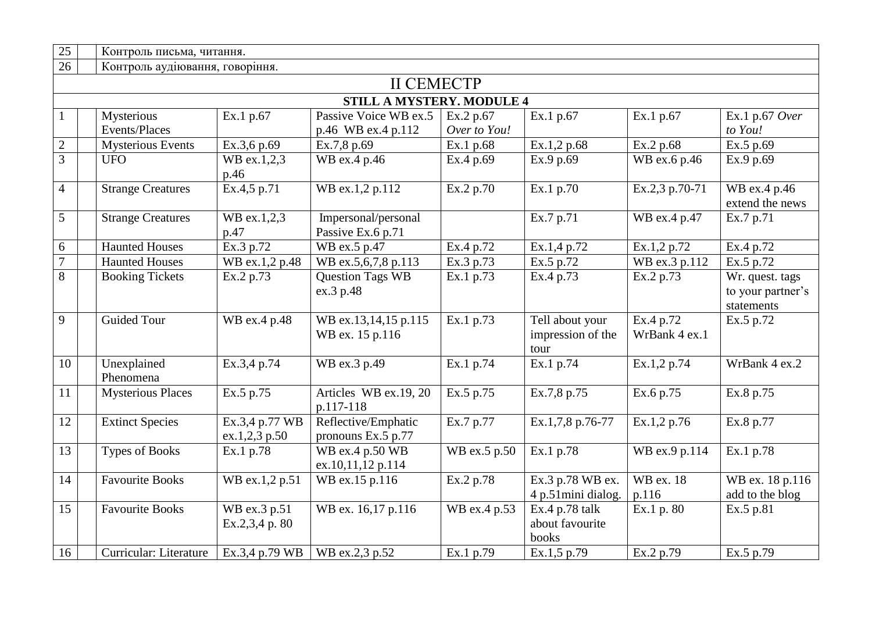| 25              | Контроль письма, читання.        |                                 |                                           |              |                                              |                            |                                                    |  |  |  |  |
|-----------------|----------------------------------|---------------------------------|-------------------------------------------|--------------|----------------------------------------------|----------------------------|----------------------------------------------------|--|--|--|--|
| 26              | Контроль аудіювання, говоріння.  |                                 |                                           |              |                                              |                            |                                                    |  |  |  |  |
|                 | <b>II CEMECTP</b>                |                                 |                                           |              |                                              |                            |                                                    |  |  |  |  |
|                 | <b>STILL A MYSTERY. MODULE 4</b> |                                 |                                           |              |                                              |                            |                                                    |  |  |  |  |
|                 | Mysterious                       | Ex.1 p.67                       | Passive Voice WB ex.5                     | Ex.2 p.67    | Ex.1 p.67                                    | Ex.1 p.67                  | Ex.1 p.67 Over                                     |  |  |  |  |
|                 | Events/Places                    |                                 | p.46 WB ex.4 p.112                        | Over to You! |                                              |                            | to You!                                            |  |  |  |  |
| $\sqrt{2}$      | <b>Mysterious Events</b>         | Ex.3,6 p.69                     | Ex.7,8 p.69                               | Ex.1 p.68    | Ex.1,2 p.68                                  | Ex.2 p.68                  | Ex.5 p.69                                          |  |  |  |  |
| $\overline{3}$  | <b>UFO</b>                       | WB ex.1,2,3<br>p.46             | WB ex.4 p.46                              | Ex.4 p.69    | Ex.9 p.69                                    | WB ex.6 p.46               | Ex.9 p.69                                          |  |  |  |  |
| $\overline{4}$  | <b>Strange Creatures</b>         | Ex.4,5 p.71                     | WB ex.1,2 p.112                           | Ex.2 p.70    | Ex.1 p.70                                    | Ex.2,3 p.70-71             | WB ex.4 p.46<br>extend the news                    |  |  |  |  |
| 5               | <b>Strange Creatures</b>         | WB ex.1,2,3<br>p.47             | Impersonal/personal<br>Passive Ex.6 p.71  |              | Ex.7 p.71                                    | WB ex.4 p.47               | Ex.7 p.71                                          |  |  |  |  |
| 6               | <b>Haunted Houses</b>            | Ex.3 p.72                       | WB ex.5 p.47                              | Ex.4 p.72    | Ex.1,4 p.72                                  | Ex.1,2 p.72                | Ex.4 p.72                                          |  |  |  |  |
| $\overline{7}$  | <b>Haunted Houses</b>            | WB ex.1,2 p.48                  | WB ex.5,6,7,8 p.113                       | Ex.3 p.73    | Ex.5 p.72                                    | WB ex.3 p.112              | Ex.5 p.72                                          |  |  |  |  |
| 8               | <b>Booking Tickets</b>           | Ex.2 p.73                       | <b>Question Tags WB</b><br>ex.3 p.48      | Ex.1 p.73    | Ex.4 p.73                                    | Ex.2 p.73                  | Wr. quest. tags<br>to your partner's<br>statements |  |  |  |  |
| 9               | <b>Guided Tour</b>               | WB ex.4 p.48                    | WB ex.13,14,15 p.115<br>WB ex. 15 p.116   | Ex.1 p.73    | Tell about your<br>impression of the<br>tour | Ex.4 p.72<br>WrBank 4 ex.1 | Ex.5 p.72                                          |  |  |  |  |
| 10              | Unexplained<br>Phenomena         | Ex.3,4 p.74                     | WB ex.3 p.49                              | Ex.1 p.74    | Ex.1 p.74                                    | Ex.1,2 p.74                | WrBank 4 ex.2                                      |  |  |  |  |
| 11              | <b>Mysterious Places</b>         | Ex.5 p.75                       | Articles WB ex.19, 20<br>p.117-118        | Ex.5 p.75    | Ex.7,8 p.75                                  | Ex.6 p.75                  | Ex.8 p.75                                          |  |  |  |  |
| 12              | <b>Extinct Species</b>           | Ex.3,4 p.77 WB<br>ex.1,2,3 p.50 | Reflective/Emphatic<br>pronouns Ex.5 p.77 | Ex.7 p.77    | Ex.1,7,8 p.76-77                             | Ex.1,2 p.76                | Ex.8 p.77                                          |  |  |  |  |
| $\overline{13}$ | <b>Types of Books</b>            | Ex.1 p.78                       | WB ex.4 p.50 WB<br>ex.10,11,12 p.114      | WB ex.5 p.50 | Ex.1 p.78                                    | WB ex.9 p.114              | Ex.1 p.78                                          |  |  |  |  |
| 14              | <b>Favourite Books</b>           | WB ex.1,2 p.51                  | WB ex.15 p.116                            | Ex.2 p.78    | Ex.3 p.78 WB ex.<br>4 p.51mini dialog.       | WB ex. 18<br>p.116         | WB ex. 18 p.116<br>add to the blog                 |  |  |  |  |
| 15              | <b>Favourite Books</b>           | WB ex.3 p.51<br>Ex.2,3,4 p. 80  | WB ex. 16,17 p.116                        | WB ex.4 p.53 | $Ex.4 p.78$ talk<br>about favourite<br>books | Ex.1 p. 80                 | Ex.5 p.81                                          |  |  |  |  |
| 16              | Curricular: Literature           | Ex.3,4 p.79 WB                  | WB ex.2,3 p.52                            | Ex.1 p.79    | Ex.1,5 p.79                                  | Ex.2 p.79                  | Ex.5 p.79                                          |  |  |  |  |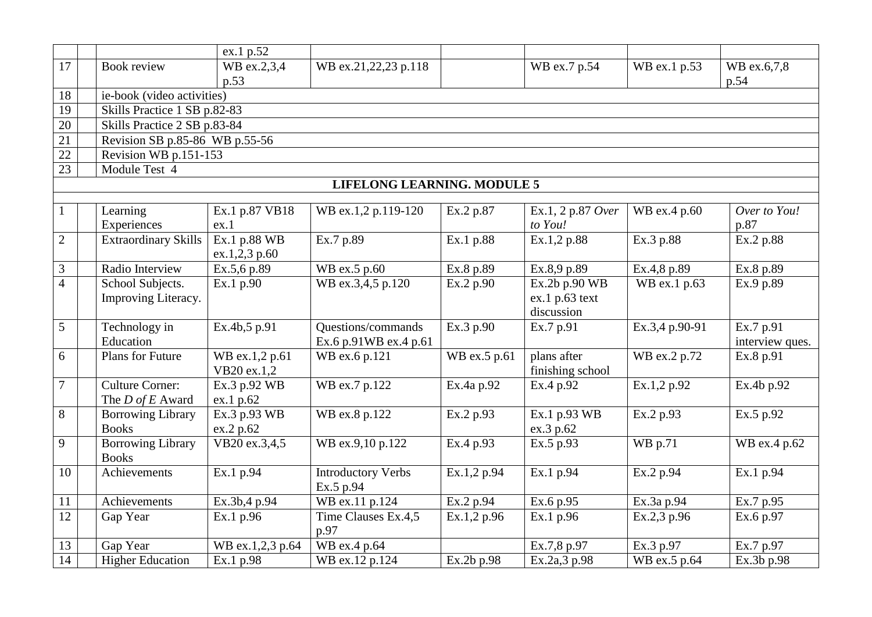|                                  |                                                | ex.1 p.52                      |                                             |              |                                               |                |                                          |  |  |  |  |  |
|----------------------------------|------------------------------------------------|--------------------------------|---------------------------------------------|--------------|-----------------------------------------------|----------------|------------------------------------------|--|--|--|--|--|
| 17                               | Book review                                    | WB ex.2,3,4<br>p.53            | WB ex.21,22,23 p.118                        |              | WB ex.7 p.54                                  | WB ex.1 p.53   | WB ex.6,7,8<br>p.54                      |  |  |  |  |  |
| 18                               |                                                | ie-book (video activities)     |                                             |              |                                               |                |                                          |  |  |  |  |  |
| $\overline{19}$                  | Skills Practice 1 SB p.82-83                   |                                |                                             |              |                                               |                |                                          |  |  |  |  |  |
| 20                               |                                                | Skills Practice 2 SB p.83-84   |                                             |              |                                               |                |                                          |  |  |  |  |  |
| $\overline{21}$                  |                                                | Revision SB p.85-86 WB p.55-56 |                                             |              |                                               |                |                                          |  |  |  |  |  |
| $\overline{22}$                  | Revision WB p.151-153                          |                                |                                             |              |                                               |                |                                          |  |  |  |  |  |
| 23                               | Module Test 4                                  |                                |                                             |              |                                               |                |                                          |  |  |  |  |  |
|                                  |                                                |                                | <b>LIFELONG LEARNING. MODULE 5</b>          |              |                                               |                |                                          |  |  |  |  |  |
|                                  |                                                |                                |                                             |              |                                               |                |                                          |  |  |  |  |  |
| $\mathbf{1}$                     | Learning                                       | Ex.1 p.87 VB18                 | WB ex.1,2 p.119-120                         | Ex.2 p.87    | Ex.1, 2 p.87 Over                             | WB ex.4 p.60   | Over to You!                             |  |  |  |  |  |
|                                  | Experiences                                    | ex.1                           |                                             |              | to You!                                       |                | p.87                                     |  |  |  |  |  |
| $\overline{2}$                   | <b>Extraordinary Skills</b>                    | Ex.1 p.88 WB                   | Ex.7 p.89                                   | Ex.1 p.88    | Ex.1,2 p.88                                   | Ex.3 p.88      | Ex.2 p.88                                |  |  |  |  |  |
|                                  | Radio Interview                                | ex.1,2,3 p.60                  |                                             |              |                                               |                |                                          |  |  |  |  |  |
| $\mathfrak{Z}$<br>$\overline{4}$ |                                                | Ex.5,6 p.89                    | WB ex.5 p.60                                | Ex.8 p.89    | Ex.8,9 p.89                                   | Ex.4,8 p.89    | Ex.8 p.89                                |  |  |  |  |  |
|                                  | School Subjects.<br>Improving Literacy.        | Ex.1 p.90                      | WB ex.3,4,5 p.120                           | Ex.2 p.90    | Ex.2b p.90 WB<br>ex.1 p.63 text<br>discussion | WB ex.1 p.63   | Ex.9 p.89                                |  |  |  |  |  |
| 5                                | Technology in<br>Education                     | Ex.4b,5 p.91                   | Questions/commands<br>Ex.6 p.91WB ex.4 p.61 | Ex.3 p.90    | Ex.7 p.91                                     | Ex.3,4 p.90-91 | $\overline{Ex.7p.91}$<br>interview ques. |  |  |  |  |  |
| 6                                | Plans for Future                               | WB ex.1,2 p.61<br>VB20 ex.1,2  | WB ex.6 p.121                               | WB ex.5 p.61 | plans after<br>finishing school               | WB ex.2 p.72   | Ex.8 p.91                                |  |  |  |  |  |
| $\tau$                           | <b>Culture Corner:</b><br>The $D$ of $E$ Award | Ex.3 p.92 WB<br>ex.1 p.62      | WB ex.7 p.122                               | Ex.4a p.92   | Ex.4 p.92                                     | Ex.1,2 p.92    | Ex.4b p.92                               |  |  |  |  |  |
| 8                                | <b>Borrowing Library</b><br><b>Books</b>       | Ex.3 p.93 WB<br>ex.2 p.62      | WB ex.8 p.122                               | Ex.2 p.93    | Ex.1 p.93 WB<br>ex.3 p.62                     | Ex.2 p.93      | Ex.5 p.92                                |  |  |  |  |  |
| 9                                | <b>Borrowing Library</b><br><b>Books</b>       | VB20 ex.3,4,5                  | WB ex.9,10 p.122                            | Ex.4 p.93    | Ex.5 p.93                                     | WB p.71        | WB ex.4 p.62                             |  |  |  |  |  |
| 10                               | Achievements                                   | Ex.1 p.94                      | <b>Introductory Verbs</b><br>Ex.5 p.94      | Ex.1,2 p.94  | Ex.1 p.94                                     | Ex.2 p.94      | Ex.1 p.94                                |  |  |  |  |  |
| 11                               | Achievements                                   | Ex.3b,4 p.94                   | WB ex.11 p.124                              | Ex.2 p.94    | Ex.6 p.95                                     | Ex.3a p.94     | Ex.7 p.95                                |  |  |  |  |  |
| $\overline{12}$                  | Gap Year                                       | Ex.1 p.96                      | Time Clauses Ex.4,5<br>p.97                 | Ex.1,2 p.96  | Ex.1 p.96                                     | Ex.2,3 p.96    | Ex.6 p.97                                |  |  |  |  |  |
| 13                               | Gap Year                                       | WB ex.1,2,3 p.64               | WB ex.4 p.64                                |              | Ex.7,8 p.97                                   | Ex.3 p.97      | Ex.7 p.97                                |  |  |  |  |  |
| 14                               | <b>Higher Education</b>                        | Ex.1 p.98                      | WB ex.12 p.124                              | Ex.2b p.98   | Ex.2a,3 p.98                                  | WB ex.5 p.64   | Ex.3b p.98                               |  |  |  |  |  |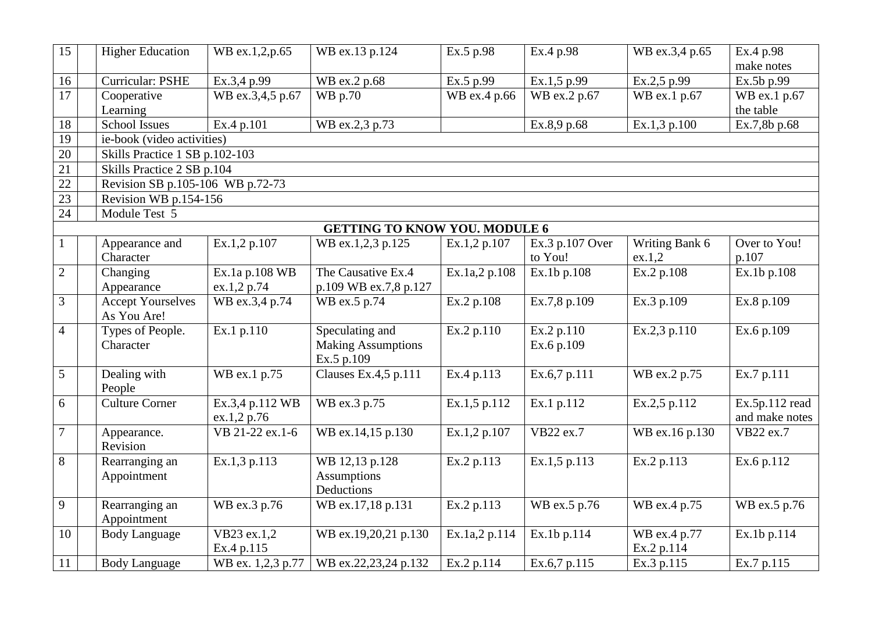| 15              | <b>Higher Education</b>          | WB ex.1,2,p.65                 | WB ex.13 p.124                       | Ex.5 p.98     | Ex.4 p.98       | WB ex.3,4 p.65 | Ex.4 p.98      |  |  |  |  |  |
|-----------------|----------------------------------|--------------------------------|--------------------------------------|---------------|-----------------|----------------|----------------|--|--|--|--|--|
|                 |                                  |                                |                                      |               |                 |                | make notes     |  |  |  |  |  |
| 16              | <b>Curricular: PSHE</b>          | Ex.3,4 p.99                    | WB ex.2 p.68                         | Ex.5 p.99     | Ex.1,5 p.99     | Ex.2,5 p.99    | Ex.5b p.99     |  |  |  |  |  |
| $\overline{17}$ | Cooperative                      | WB ex.3,4,5 p.67               | WB p.70                              | WB ex.4 p.66  | WB ex.2 p.67    | WB ex.1 p.67   | WB ex.1 p.67   |  |  |  |  |  |
|                 | Learning                         |                                |                                      |               |                 |                | the table      |  |  |  |  |  |
| 18              | <b>School Issues</b>             | Ex.4 p.101                     | WB ex.2,3 p.73                       |               | Ex.8,9 p.68     | Ex.1,3 p.100   | Ex.7,8b p.68   |  |  |  |  |  |
| 19              | ie-book (video activities)       |                                |                                      |               |                 |                |                |  |  |  |  |  |
| 20              |                                  | Skills Practice 1 SB p.102-103 |                                      |               |                 |                |                |  |  |  |  |  |
| $\overline{21}$ | Skills Practice 2 SB p.104       |                                |                                      |               |                 |                |                |  |  |  |  |  |
| 22              | Revision SB p.105-106 WB p.72-73 |                                |                                      |               |                 |                |                |  |  |  |  |  |
| $\overline{23}$ | Revision WB p.154-156            |                                |                                      |               |                 |                |                |  |  |  |  |  |
| 24              | Module Test 5                    |                                |                                      |               |                 |                |                |  |  |  |  |  |
|                 |                                  |                                | <b>GETTING TO KNOW YOU. MODULE 6</b> |               |                 |                |                |  |  |  |  |  |
| 1               | Appearance and                   | Ex.1,2 p.107                   | WB ex.1,2,3 p.125                    | Ex.1,2 p.107  | Ex.3 p.107 Over | Writing Bank 6 | Over to You!   |  |  |  |  |  |
|                 | Character                        |                                |                                      |               | to You!         | ex.1,2         | p.107          |  |  |  |  |  |
| $\overline{2}$  | Changing                         | $\overline{Ex}$ .1a p.108 WB   | The Causative Ex.4                   | Ex.1a,2 p.108 | Ex.1b p.108     | Ex.2 p.108     | Ex.1b p.108    |  |  |  |  |  |
|                 | Appearance                       | ex.1,2 p.74                    | p.109 WB ex.7,8 p.127                |               |                 |                |                |  |  |  |  |  |
| 3               | <b>Accept Yourselves</b>         | WB ex.3,4 p.74                 | WB ex.5 p.74                         | Ex.2 p.108    | Ex.7,8 p.109    | Ex.3 p.109     | Ex.8 p.109     |  |  |  |  |  |
|                 | As You Are!                      |                                |                                      |               |                 |                |                |  |  |  |  |  |
| $\overline{4}$  | Types of People.                 | Ex.1 p.110                     | Speculating and                      | Ex.2 p.110    | Ex.2 p.110      | Ex.2,3 p.110   | Ex.6 p.109     |  |  |  |  |  |
|                 | Character                        |                                | <b>Making Assumptions</b>            |               | Ex.6 p.109      |                |                |  |  |  |  |  |
|                 |                                  |                                | Ex.5 p.109                           |               |                 |                |                |  |  |  |  |  |
| 5               | Dealing with                     | WB ex.1 p.75                   | Clauses Ex. $4, 5, p.111$            | Ex.4 p.113    | Ex.6,7 p.111    | WB ex.2 p.75   | Ex.7 p.111     |  |  |  |  |  |
|                 | People                           |                                |                                      |               |                 |                |                |  |  |  |  |  |
| 6               | <b>Culture Corner</b>            | Ex.3,4 p.112 WB                | WB ex.3 p.75                         | Ex.1,5 p.112  | Ex.1 p.112      | Ex.2,5 p.112   | Ex.5p.112 read |  |  |  |  |  |
|                 |                                  | ex.1,2 p.76                    |                                      |               |                 |                | and make notes |  |  |  |  |  |
| $\overline{7}$  | Appearance.                      | VB 21-22 ex.1-6                | WB ex.14,15 p.130                    | Ex.1,2 p.107  | VB22 ex.7       | WB ex.16 p.130 | VB22 ex.7      |  |  |  |  |  |
|                 | Revision                         |                                |                                      |               |                 |                |                |  |  |  |  |  |
| 8               | Rearranging an                   | Ex.1,3 p.113                   | WB 12,13 p.128                       | Ex.2 p.113    | Ex.1,5 p.113    | Ex.2 p.113     | Ex.6 p.112     |  |  |  |  |  |
|                 | Appointment                      |                                | <b>Assumptions</b>                   |               |                 |                |                |  |  |  |  |  |
|                 |                                  |                                | Deductions                           |               |                 |                |                |  |  |  |  |  |
| 9               | Rearranging an                   | WB ex.3 p.76                   | WB ex.17,18 p.131                    | Ex.2 p.113    | WB ex.5 p.76    | WB ex.4 p.75   | WB ex.5 p.76   |  |  |  |  |  |
|                 | Appointment                      |                                |                                      |               |                 |                |                |  |  |  |  |  |
| 10              | <b>Body Language</b>             | VB23 ex.1,2                    | WB ex.19,20,21 p.130                 | Ex.1a,2 p.114 | Ex.1b p.114     | WB ex.4 p.77   | Ex.1b p.114    |  |  |  |  |  |
|                 |                                  | Ex.4 p.115                     |                                      |               |                 | Ex.2 p.114     |                |  |  |  |  |  |
| 11              | <b>Body Language</b>             | WB ex. 1,2,3 p.77              | WB ex.22,23,24 p.132                 | Ex.2 p.114    | Ex.6,7 p.115    | Ex.3 p.115     | Ex.7 p.115     |  |  |  |  |  |